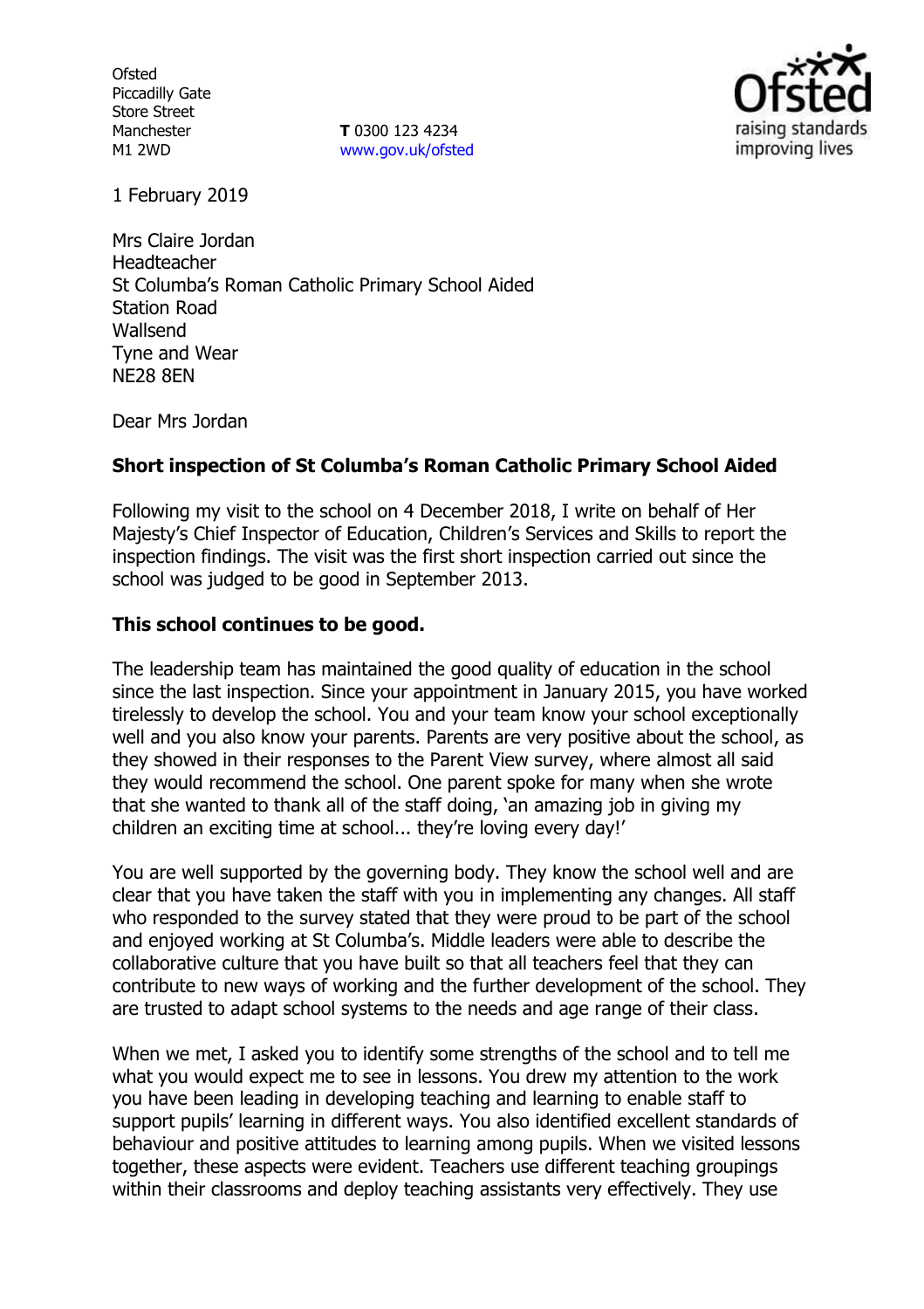**Ofsted** Piccadilly Gate Store Street Manchester M1 2WD

**T** 0300 123 4234 www.gov.uk/ofsted



1 February 2019

Mrs Claire Jordan Headteacher St Columba's Roman Catholic Primary School Aided Station Road Wallsend Tyne and Wear NE28 8EN

Dear Mrs Jordan

# **Short inspection of St Columba's Roman Catholic Primary School Aided**

Following my visit to the school on 4 December 2018, I write on behalf of Her Majesty's Chief Inspector of Education, Children's Services and Skills to report the inspection findings. The visit was the first short inspection carried out since the school was judged to be good in September 2013.

# **This school continues to be good.**

The leadership team has maintained the good quality of education in the school since the last inspection. Since your appointment in January 2015, you have worked tirelessly to develop the school. You and your team know your school exceptionally well and you also know your parents. Parents are very positive about the school, as they showed in their responses to the Parent View survey, where almost all said they would recommend the school. One parent spoke for many when she wrote that she wanted to thank all of the staff doing, 'an amazing job in giving my children an exciting time at school... they're loving every day!'

You are well supported by the governing body. They know the school well and are clear that you have taken the staff with you in implementing any changes. All staff who responded to the survey stated that they were proud to be part of the school and enjoyed working at St Columba's. Middle leaders were able to describe the collaborative culture that you have built so that all teachers feel that they can contribute to new ways of working and the further development of the school. They are trusted to adapt school systems to the needs and age range of their class.

When we met, I asked you to identify some strengths of the school and to tell me what you would expect me to see in lessons. You drew my attention to the work you have been leading in developing teaching and learning to enable staff to support pupils' learning in different ways. You also identified excellent standards of behaviour and positive attitudes to learning among pupils. When we visited lessons together, these aspects were evident. Teachers use different teaching groupings within their classrooms and deploy teaching assistants very effectively. They use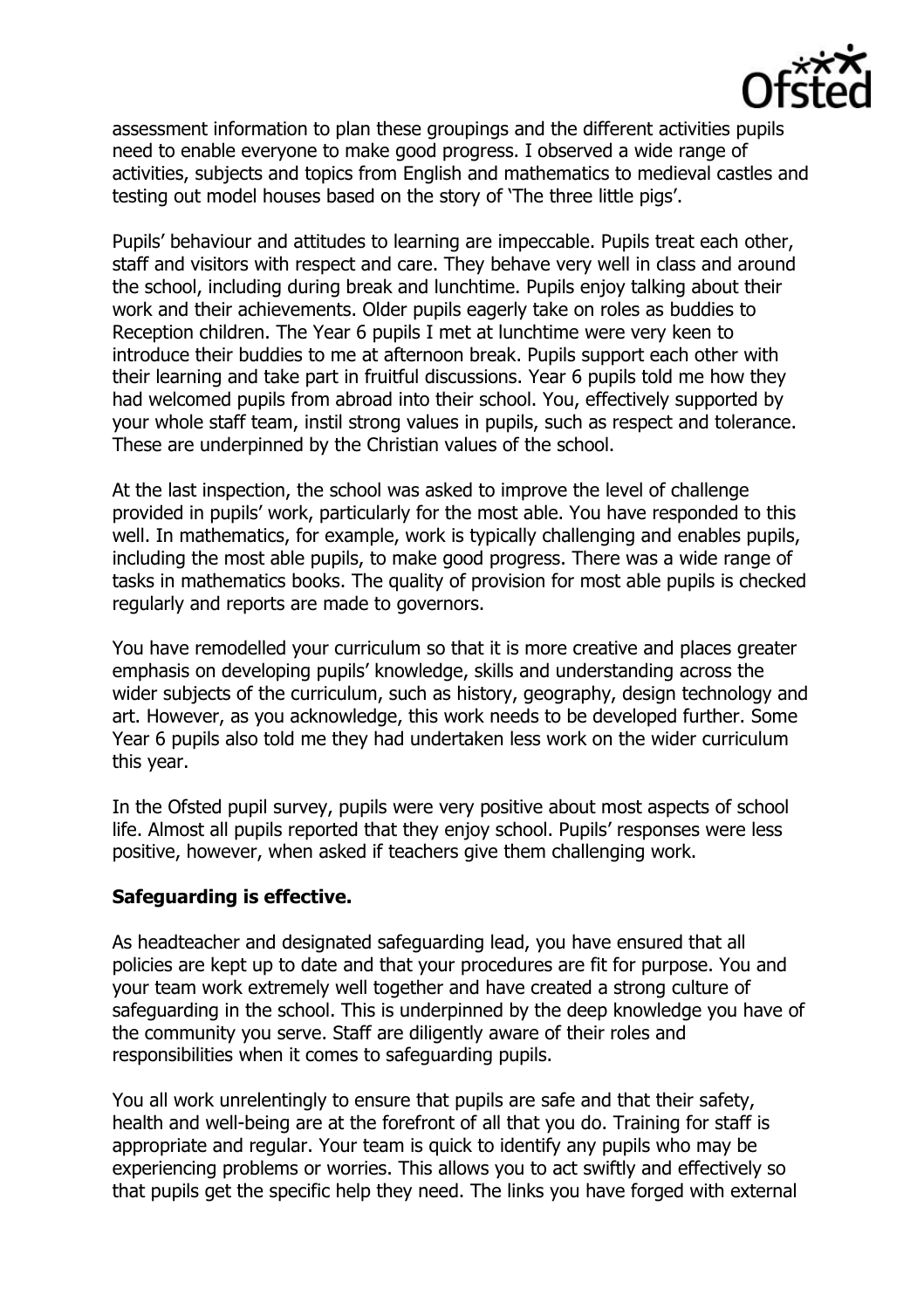

assessment information to plan these groupings and the different activities pupils need to enable everyone to make good progress. I observed a wide range of activities, subjects and topics from English and mathematics to medieval castles and testing out model houses based on the story of 'The three little pigs'.

Pupils' behaviour and attitudes to learning are impeccable. Pupils treat each other, staff and visitors with respect and care. They behave very well in class and around the school, including during break and lunchtime. Pupils enjoy talking about their work and their achievements. Older pupils eagerly take on roles as buddies to Reception children. The Year 6 pupils I met at lunchtime were very keen to introduce their buddies to me at afternoon break. Pupils support each other with their learning and take part in fruitful discussions. Year 6 pupils told me how they had welcomed pupils from abroad into their school. You, effectively supported by your whole staff team, instil strong values in pupils, such as respect and tolerance. These are underpinned by the Christian values of the school.

At the last inspection, the school was asked to improve the level of challenge provided in pupils' work, particularly for the most able. You have responded to this well. In mathematics, for example, work is typically challenging and enables pupils, including the most able pupils, to make good progress. There was a wide range of tasks in mathematics books. The quality of provision for most able pupils is checked regularly and reports are made to governors.

You have remodelled your curriculum so that it is more creative and places greater emphasis on developing pupils' knowledge, skills and understanding across the wider subjects of the curriculum, such as history, geography, design technology and art. However, as you acknowledge, this work needs to be developed further. Some Year 6 pupils also told me they had undertaken less work on the wider curriculum this year.

In the Ofsted pupil survey, pupils were very positive about most aspects of school life. Almost all pupils reported that they enjoy school. Pupils' responses were less positive, however, when asked if teachers give them challenging work.

# **Safeguarding is effective.**

As headteacher and designated safeguarding lead, you have ensured that all policies are kept up to date and that your procedures are fit for purpose. You and your team work extremely well together and have created a strong culture of safeguarding in the school. This is underpinned by the deep knowledge you have of the community you serve. Staff are diligently aware of their roles and responsibilities when it comes to safeguarding pupils.

You all work unrelentingly to ensure that pupils are safe and that their safety, health and well-being are at the forefront of all that you do. Training for staff is appropriate and regular. Your team is quick to identify any pupils who may be experiencing problems or worries. This allows you to act swiftly and effectively so that pupils get the specific help they need. The links you have forged with external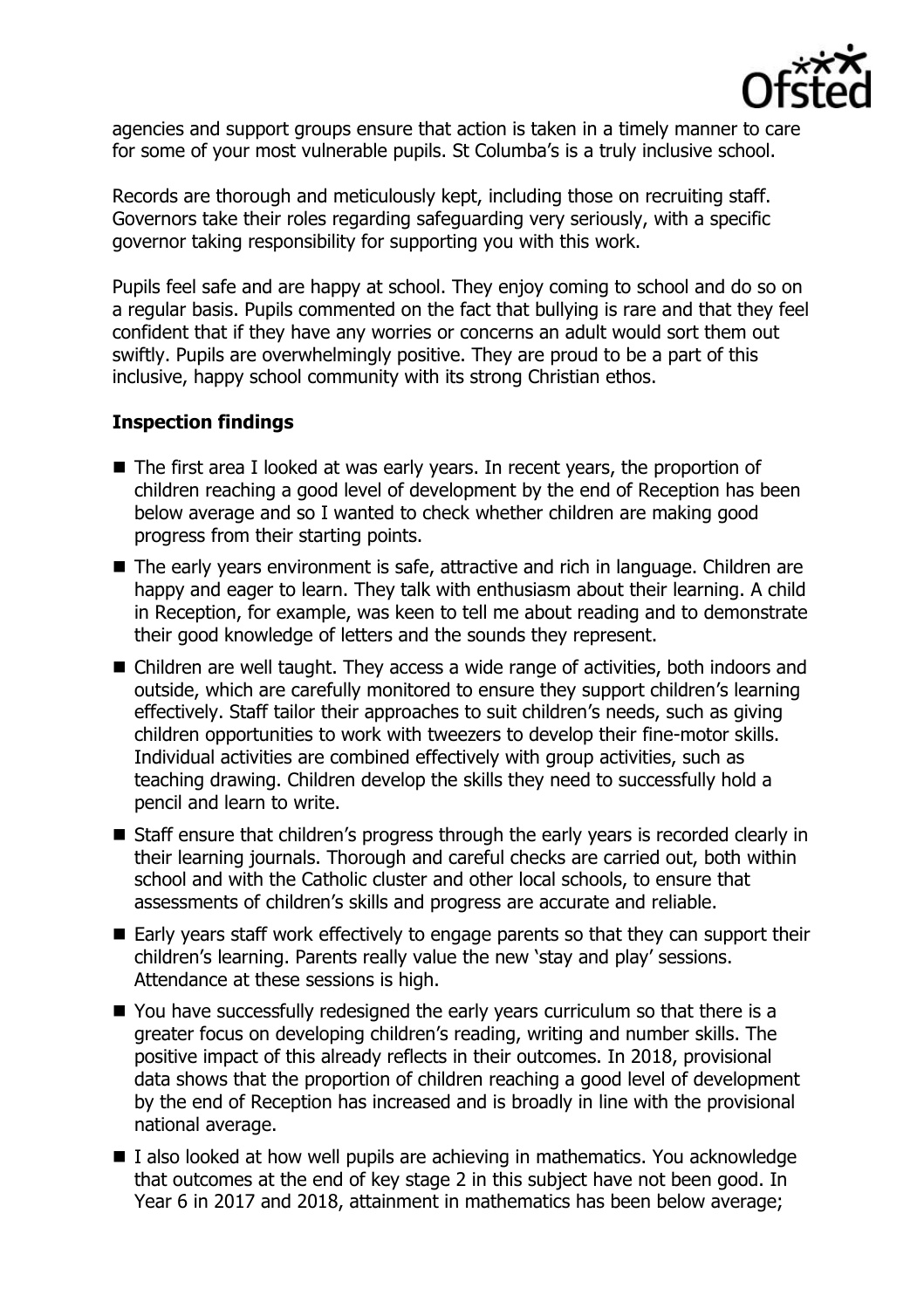

agencies and support groups ensure that action is taken in a timely manner to care for some of your most vulnerable pupils. St Columba's is a truly inclusive school.

Records are thorough and meticulously kept, including those on recruiting staff. Governors take their roles regarding safeguarding very seriously, with a specific governor taking responsibility for supporting you with this work.

Pupils feel safe and are happy at school. They enjoy coming to school and do so on a regular basis. Pupils commented on the fact that bullying is rare and that they feel confident that if they have any worries or concerns an adult would sort them out swiftly. Pupils are overwhelmingly positive. They are proud to be a part of this inclusive, happy school community with its strong Christian ethos.

# **Inspection findings**

- The first area I looked at was early years. In recent years, the proportion of children reaching a good level of development by the end of Reception has been below average and so I wanted to check whether children are making good progress from their starting points.
- The early years environment is safe, attractive and rich in language. Children are happy and eager to learn. They talk with enthusiasm about their learning. A child in Reception, for example, was keen to tell me about reading and to demonstrate their good knowledge of letters and the sounds they represent.
- Children are well taught. They access a wide range of activities, both indoors and outside, which are carefully monitored to ensure they support children's learning effectively. Staff tailor their approaches to suit children's needs, such as giving children opportunities to work with tweezers to develop their fine-motor skills. Individual activities are combined effectively with group activities, such as teaching drawing. Children develop the skills they need to successfully hold a pencil and learn to write.
- Staff ensure that children's progress through the early years is recorded clearly in their learning journals. Thorough and careful checks are carried out, both within school and with the Catholic cluster and other local schools, to ensure that assessments of children's skills and progress are accurate and reliable.
- Early years staff work effectively to engage parents so that they can support their children's learning. Parents really value the new 'stay and play' sessions. Attendance at these sessions is high.
- You have successfully redesigned the early years curriculum so that there is a greater focus on developing children's reading, writing and number skills. The positive impact of this already reflects in their outcomes. In 2018, provisional data shows that the proportion of children reaching a good level of development by the end of Reception has increased and is broadly in line with the provisional national average.
- $\blacksquare$  I also looked at how well pupils are achieving in mathematics. You acknowledge that outcomes at the end of key stage 2 in this subject have not been good. In Year 6 in 2017 and 2018, attainment in mathematics has been below average;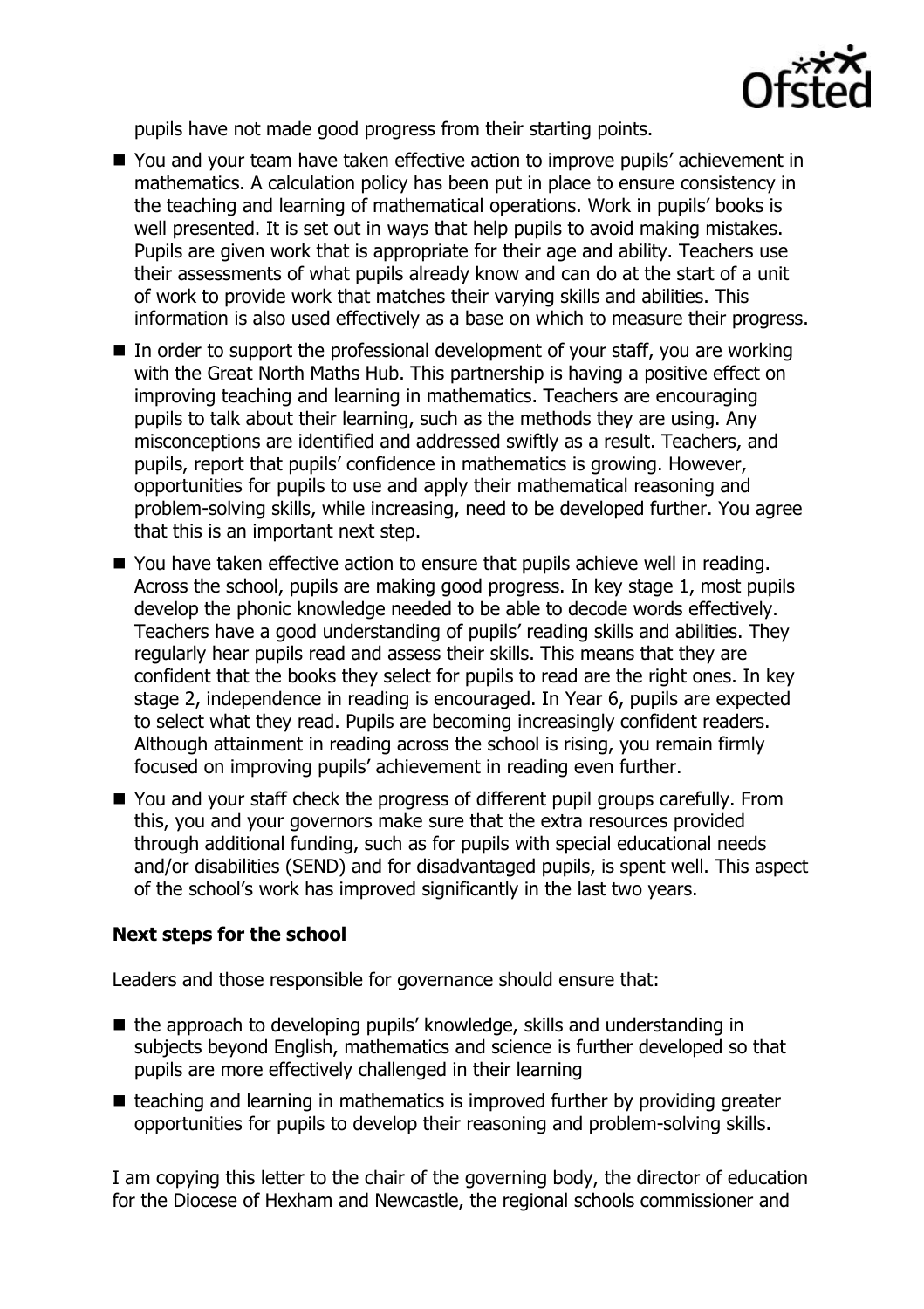

pupils have not made good progress from their starting points.

- You and your team have taken effective action to improve pupils' achievement in mathematics. A calculation policy has been put in place to ensure consistency in the teaching and learning of mathematical operations. Work in pupils' books is well presented. It is set out in ways that help pupils to avoid making mistakes. Pupils are given work that is appropriate for their age and ability. Teachers use their assessments of what pupils already know and can do at the start of a unit of work to provide work that matches their varying skills and abilities. This information is also used effectively as a base on which to measure their progress.
- $\blacksquare$  In order to support the professional development of your staff, you are working with the Great North Maths Hub. This partnership is having a positive effect on improving teaching and learning in mathematics. Teachers are encouraging pupils to talk about their learning, such as the methods they are using. Any misconceptions are identified and addressed swiftly as a result. Teachers, and pupils, report that pupils' confidence in mathematics is growing. However, opportunities for pupils to use and apply their mathematical reasoning and problem-solving skills, while increasing, need to be developed further. You agree that this is an important next step.
- You have taken effective action to ensure that pupils achieve well in reading. Across the school, pupils are making good progress. In key stage 1, most pupils develop the phonic knowledge needed to be able to decode words effectively. Teachers have a good understanding of pupils' reading skills and abilities. They regularly hear pupils read and assess their skills. This means that they are confident that the books they select for pupils to read are the right ones. In key stage 2, independence in reading is encouraged. In Year 6, pupils are expected to select what they read. Pupils are becoming increasingly confident readers. Although attainment in reading across the school is rising, you remain firmly focused on improving pupils' achievement in reading even further.
- You and your staff check the progress of different pupil groups carefully. From this, you and your governors make sure that the extra resources provided through additional funding, such as for pupils with special educational needs and/or disabilities (SEND) and for disadvantaged pupils, is spent well. This aspect of the school's work has improved significantly in the last two years.

# **Next steps for the school**

Leaders and those responsible for governance should ensure that:

- $\blacksquare$  the approach to developing pupils' knowledge, skills and understanding in subjects beyond English, mathematics and science is further developed so that pupils are more effectively challenged in their learning
- $\blacksquare$  teaching and learning in mathematics is improved further by providing greater opportunities for pupils to develop their reasoning and problem-solving skills.

I am copying this letter to the chair of the governing body, the director of education for the Diocese of Hexham and Newcastle, the regional schools commissioner and